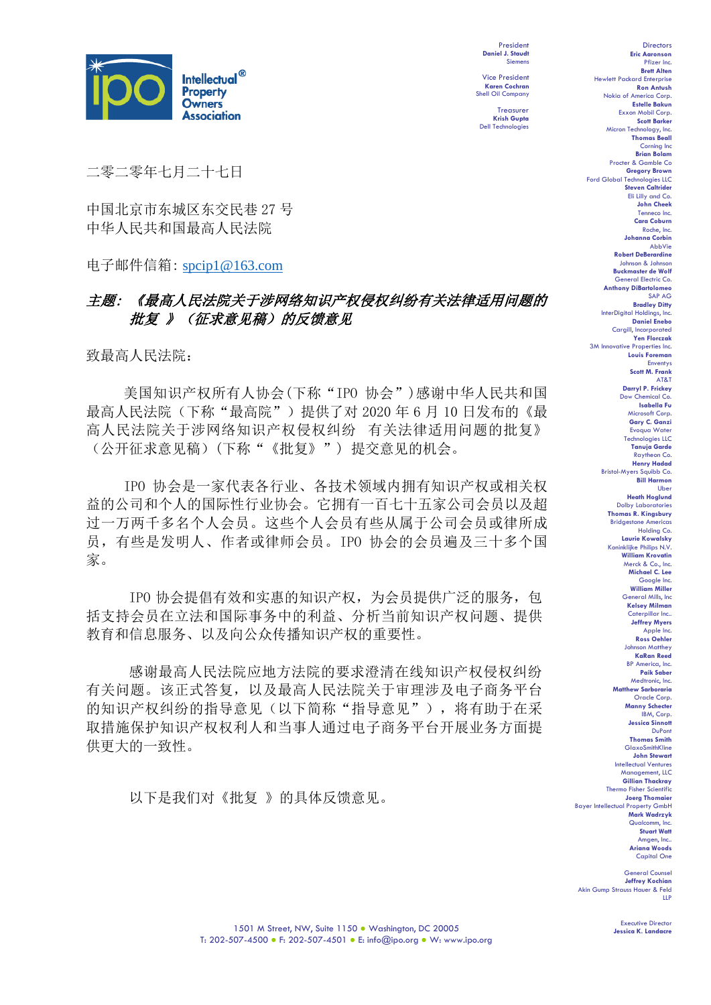

President **Daniel J. Staudt** Siemens

Vice President **Karen Cochran** Shell Oil Company

Treasurer **Krish Gupta** Dell Technologies

二零二零年七月二十七日

中国北京市东城区东交民巷 27 号 中华人民共和国最高人民法院

电子邮件信箱: [spcip1@163.com](mailto:spcip1@163.com)

# 主题: 《最高人民法院关于涉网络知识产权侵权纠纷有关法律适用问题的 批复 》(征求意见稿) 的反馈意见

致最高人民法院:

美国知识产权所有人协会(下称"IPO 协会")感谢中华人民共和国 最高人民法院(下称"最高院")提供了对 2020年 6月 10 日发布的《最 高人民法院关于涉网络知识产权侵权纠纷 有关法律适用问题的批复》 (公开征求意见稿)(下称"《批复》") 提交意见的机会。

IPO 协会是一家代表各行业、各技术领域内拥有知识产权或相关权 益的公司和个人的国际性行业协会。它拥有一百七十五家公司会员以及超 过一万两千多名个人会员。这些个人会员有些从属于公司会员或律所成 员,有些是发明人、作者或律师会员。IPO 协会的会员遍及三十多个国 家。

IPO 协会提倡有效和实惠的知识产权,为会员提供广泛的服务,包 括支持会员在立法和国际事务中的利益、分析当前知识产权问题、提供 教育和信息服务、以及向公众传播知识产权的重要性。

感谢最高人民法院应地方法院的要求澄清在线知识产权侵权纠纷 有关问题。该正式答复,以及最高人民法院关于审理涉及电子商务平台 的知识产权纠纷的指导意见(以下简称"指导意见"), 将有助于在采 取措施保护知识产权权利人和当事人通过电子商务平台开展业务方面提 供更大的一致性。

以下是我们对《批复 》的具体反馈意见。

Directors **Eric Aaronson**  Pfizer Inc. **Brett Alten** Hewlett Packard Enterprise **Ron Antush** Nokia of America Corp. **Estelle Bakun** Exxon Mobil Corp. **Scott Barker** Micron Technology, Inc. **Thomas Beall** Corning Inc **Brian Bola** Procter & Gamble Co **Gregory Brown** Ford Global Technologies LLC **Steven Caltrider** Eli Lilly and Co. **John Cheek** Tenneco Inc. **Cara Coburn** Roche, Inc. **Johanna Corbin** AbbVie **Robert DeBerardine** Johnson & Johnson **Buckmaster de Wolf** General Electric Co. **Anthony DiBartolomeo** SAP AG **Bradley Ditty** InterDigital Holdings, Inc. **Daniel Enebo** Cargill, Incorporated **Yen Florczak** 3M Innovative Properties Inc. **Louis Foreman** Enventys **Scott M. Frank** AT&T **Darryl P. Frickey** Dow Chemical Co. **Isabella Fu**  Microsoft Corp. **Gary C. Ganzi** Evoqua Water Technologies LLC **Tanuja Garde** Raytheon Co. **Henry Hadad** Bristol-Myers Squibb Co. **Bill Harmon** Ube **Heath Hoglund** Dolby Laboratories **Thomas R. Kingsbury** Bridgestone Americas Holding Co. **Laurie Kowalsky** Koninklijke Philips N.V. **William Krovatin** Merck & Co., Inc. **Michael C. Lee** Google Inc. **William Miller** General Mills, Inc **Kelsey Milman** Caterpillar Inc.. **Jeffrey Myers** Apple Inc. **Ross Oehler** Johnson Matthey **KaRan Reed** BP America, Inc. **Paik Saber** Medtronic, Inc. **Matthew Sarboraria** Oracle Corp. **Manny Schecter** IBM, Corp. **Jessica Sinnott** DuPont **Thomas Smith**

GlaxoSmithKline **John Stewart** Intellectual Ventures Management, LLC **Gillian Thackray** Thermo Fisher Scientific **Joerg Thomaier** Bayer Intellectual Property GmbH **Mark Wadrzyk** Qualcomm, In **Stuart Watt** Amgen, Inc.. **Ariana Woods** Capital One

General Counsel **Jeffrey Kochian** Akin Gump Strauss Hauer & Feld LLP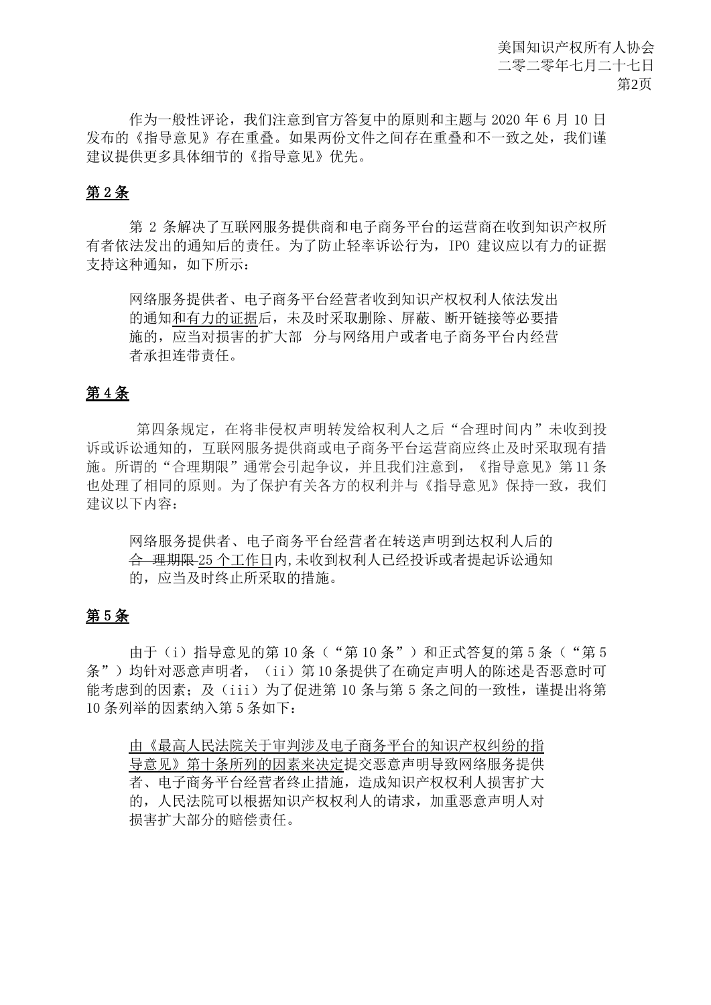作为一般性评论,我们注意到官方答复中的原则和主题与 2020 年 6 月 10 日 发布的《指导意见》存在重叠。如果两份文件之间存在重叠和不一致之处,我们谨 建议提供更多具体细节的《指导意见》优先。

# 第 2 条

第 2 条解决了互联网服务提供商和电子商务平台的运营商在收到知识产权所 有者依法发出的通知后的责任。为了防止轻率诉讼行为,IPO 建议应以有力的证据 支持这种通知,如下所示:

网络服务提供者、电子商务平台经营者收到知识产权权利人依法发出 的通知和有力的证据后,未及时采取删除、屏蔽、断开链接等必要措 施的,应当对损害的扩大部 分与网络用户或者电子商务平台内经营 者承担连带责任。

# 第 4 条

第四条规定, 在将非侵权声明转发给权利人之后"合理时间内"未收到投 诉或诉讼通知的,互联网服务提供商或电子商务平台运营商应终止及时采取现有措 施。所谓的"合理期限"通常会引起争议,并且我们注意到,《指导意见》第 11 条 也处理了相同的原则。为了保护有关各方的权利并与《指导意见》保持一致,我们 建议以下内容:

网络服务提供者、电子商务平台经营者在转送声明到达权利人后的 合 理期限 25 个工作日内,未收到权利人已经投诉或者提起诉讼通知 的,应当及时终止所采取的措施。

# 第 5 条

由于(i)指导意见的第 10 条("第 10 条")和正式答复的第 5 条("第 5 条")均针对恶意声明者, (ii)第 10 条提供了在确定声明人的陈述是否恶意时可 能考虑到的因素;及(iii)为了促进第 10 条与第 5 条之间的一致性,谨提出将第 10 条列举的因素纳入第 5 条如下:

由《最高人民法院关于审判涉及电子商务平台的知识产权纠纷的指 导意见》第十条所列的因素来决定提交恶意声明导致网络服务提供 者、电子商务平台经营者终止措施,造成知识产权权利人损害扩大 的,人民法院可以根据知识产权权利人的请求,加重恶意声明人对 损害扩大部分的赔偿责任。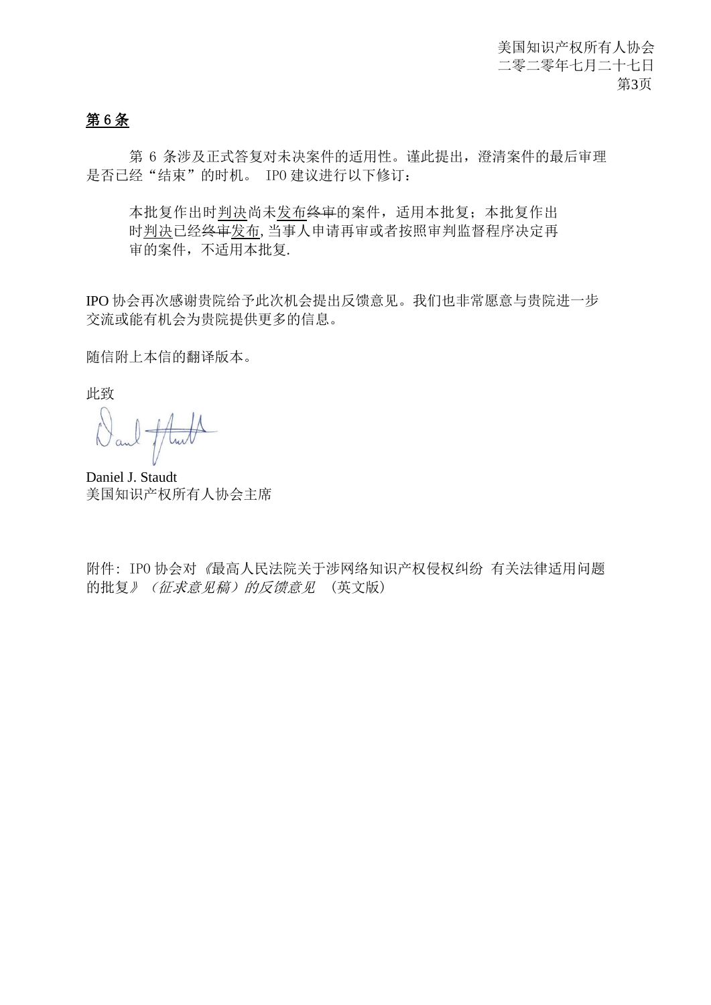# 第 6 条

第 6 条涉及正式答复对未决案件的适用性。谨此提出,澄清案件的最后审理 是否已经"结束"的时机。 IPO 建议进行以下修订:

本批复作出时判决尚未发布终审的案件,适用本批复;本批复作出 时判决已经终审发布,当事人申请再审或者按照审判监督程序决定再 审的案件,不适用本批复.

IPO 协会再次感谢贵院给予此次机会提出反馈意见。我们也非常愿意与贵院进一步 交流或能有机会为贵院提供更多的信息。

随信附上本信的翻译版本。

此致

Mull

Daniel J. Staudt 美国知识产权所有人协会主席

附件: IPO 协会对《最高人民法院关于涉网络知识产权侵权纠纷 有关法律适用问题 的批复》(征求意见稿)的反馈意见 (英文版)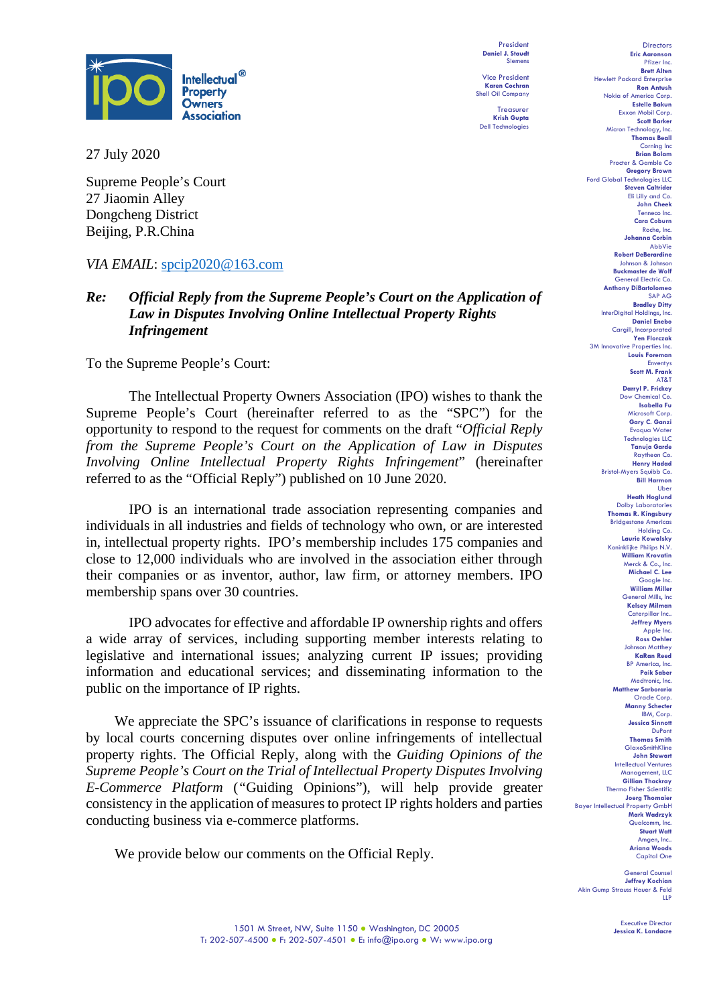

27 July 2020

Supreme People's Court 27 Jiaomin Alley Dongcheng District Beijing, P.R.China

# *VIA EMAIL*: [spcip2020@163.com](mailto:spcip2020@163.com)

# *Re: Official Reply from the Supreme People's Court on the Application of Law in Disputes Involving Online Intellectual Property Rights Infringement*

To the Supreme People's Court:

The Intellectual Property Owners Association (IPO) wishes to thank the Supreme People's Court (hereinafter referred to as the "SPC") for the opportunity to respond to the request for comments on the draft "*Official Reply from the Supreme People's Court on the Application of Law in Disputes Involving Online Intellectual Property Rights Infringement*" (hereinafter referred to as the "Official Reply") published on 10 June 2020.

IPO is an international trade association representing companies and individuals in all industries and fields of technology who own, or are interested in, intellectual property rights. IPO's membership includes 175 companies and close to 12,000 individuals who are involved in the association either through their companies or as inventor, author, law firm, or attorney members. IPO membership spans over 30 countries.

IPO advocates for effective and affordable IP ownership rights and offers a wide array of services, including supporting member interests relating to legislative and international issues; analyzing current IP issues; providing information and educational services; and disseminating information to the public on the importance of IP rights.

We appreciate the SPC's issuance of clarifications in response to requests by local courts concerning disputes over online infringements of intellectual property rights. The Official Reply, along with the *Guiding Opinions of the Supreme People's Court on the Trial of Intellectual Property Disputes Involving E-Commerce Platform* (*"*Guiding Opinions"), will help provide greater consistency in the application of measures to protect IP rights holders and parties conducting business via e-commerce platforms.

We provide below our comments on the Official Reply.

President **Daniel J. Staudt** Siemens Vice President

**Karen Cochran** Shell Oil Company Treasurer

**Krish Gupta** Dell Technologies

Pfizer Inc. **Brett Alten** Hewlett Packard Enterprise **Ron Antush** Nokia of America Corp. **Estelle Bakun** Exxon Mobil Corp. **Scott Barker** Micron Technology, Inc. **Thomas Beall** Corning Inc **Brian Bola** Procter & Gamble Co **Gregory Brown** Ford Global Technologies LLC **Steven Caltrider** Eli Lilly and Co. **John Cheek** Tenneco Inc. **Cara Coburn** Roche, Inc. **Johanna Corbin** AbbVie **Robert DeBerardine** Johnson & Johnson **Buckmaster de Wolf** General Electric Co. **Anthony DiBartolomeo** SAP AG **Bradley Ditty** InterDigital Holdings, Inc. **Daniel Enebo** Cargill, Incorporated **Yen Florczak** 3M Innovative Properties Inc. **Louis Foreman** Enventys **Scott M. Frank** AT&T **Darryl P. Frickey** Dow Chemical Co. **Isabella Fu**  Microsoft Corp. **Gary C. Ganzi** Evoqua Water Technologies LLC **Tanuja Garde** Raytheon Co. **Henry Hadad** Bristol-Myers Squibb Co. **Bill Harmon** Ube **Heath Hoglund** Dolby Laboratories **Thomas R. Kingsbury** Bridgestone America Holding Co. **Laurie Kowalsky** Koninklijke Philips N.V. **William Krovatin** Merck & Co., Inc. **Michael C. Lee** Google Inc. **William Miller** General Mills, Inc **Kelsey Milman** Caterpillar Inc.. **Jeffrey Myers** Apple Inc. **Ross Oehler** Johnson Matthey **KaRan Reed** BP America, Inc. **Paik Saber** Medtronic, Inc. **Matthew Sarboraria** Oracle Corp. **Manny Schecter** IBM, Corp. **Jessica Sinnott** DuPont **Thomas Smith** GlaxoSmithKline **John Stewart** Intellectual Ventures Management, LLC **Gillian Thackray** Thermo Fisher Scientific **Joerg Thomaier** Bayer Intellectual Property GmbH **Mark Wadrzyk** Qualcomm, In **Stuart Watt** Amgen, Inc.. **Ariana Woods** Capital One

Directors **Eric Aaronson** 

General Counsel **Jeffrey Kochian** Akin Gump Strauss Hauer & Feld LLP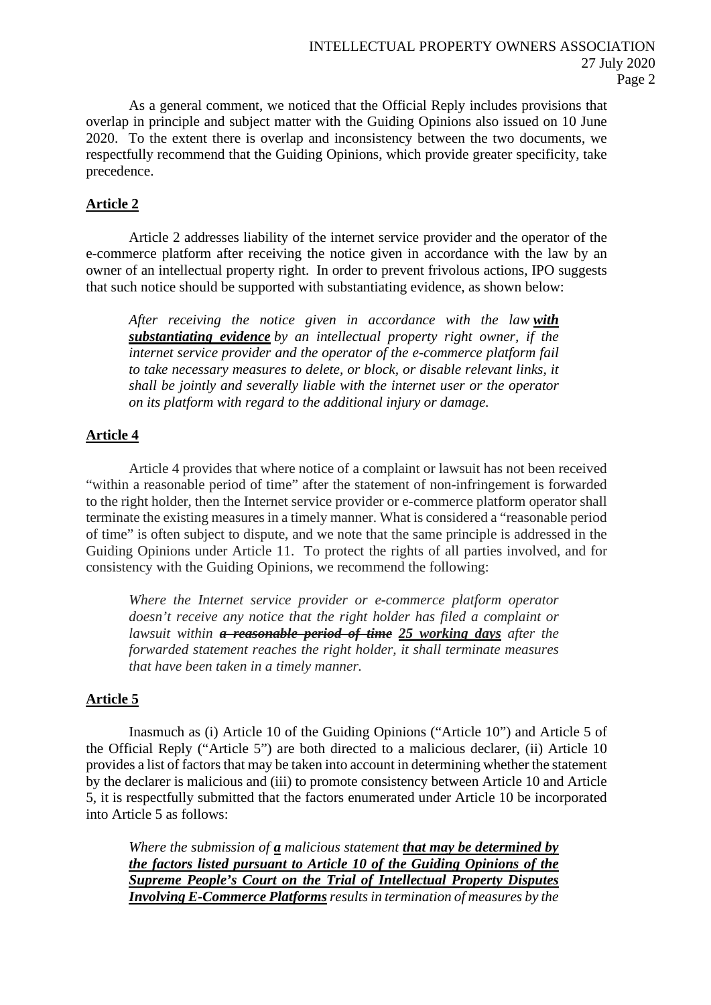As a general comment, we noticed that the Official Reply includes provisions that overlap in principle and subject matter with the Guiding Opinions also issued on 10 June 2020. To the extent there is overlap and inconsistency between the two documents, we respectfully recommend that the Guiding Opinions, which provide greater specificity, take precedence.

# **Article 2**

Article 2 addresses liability of the internet service provider and the operator of the e-commerce platform after receiving the notice given in accordance with the law by an owner of an intellectual property right. In order to prevent frivolous actions, IPO suggests that such notice should be supported with substantiating evidence, as shown below:

*After receiving the notice given in accordance with the law with substantiating evidence by an intellectual property right owner, if the internet service provider and the operator of the e-commerce platform fail to take necessary measures to delete, or block, or disable relevant links, it shall be jointly and severally liable with the internet user or the operator on its platform with regard to the additional injury or damage.*

### **Article 4**

Article 4 provides that where notice of a complaint or lawsuit has not been received "within a reasonable period of time" after the statement of non-infringement is forwarded to the right holder, then the Internet service provider or e-commerce platform operator shall terminate the existing measures in a timely manner. What is considered a "reasonable period of time" is often subject to dispute, and we note that the same principle is addressed in the Guiding Opinions under Article 11. To protect the rights of all parties involved, and for consistency with the Guiding Opinions, we recommend the following:

*Where the Internet service provider or e-commerce platform operator doesn't receive any notice that the right holder has filed a complaint or lawsuit within a reasonable period of time 25 working days after the forwarded statement reaches the right holder, it shall terminate measures that have been taken in a timely manner.*

### **Article 5**

Inasmuch as (i) Article 10 of the Guiding Opinions ("Article 10") and Article 5 of the Official Reply ("Article 5") are both directed to a malicious declarer, (ii) Article 10 provides a list of factors that may be taken into account in determining whether the statement by the declarer is malicious and (iii) to promote consistency between Article 10 and Article 5, it is respectfully submitted that the factors enumerated under Article 10 be incorporated into Article 5 as follows:

*Where the submission of a malicious statement that may be determined by the factors listed pursuant to Article 10 of the Guiding Opinions of the Supreme People's Court on the Trial of Intellectual Property Disputes Involving E-Commerce Platformsresults in termination of measures by the*